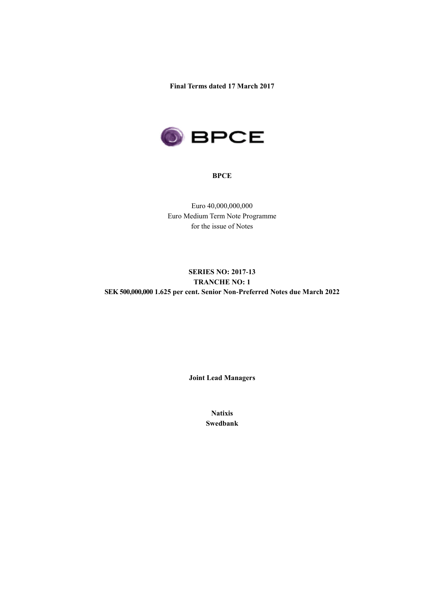**Final Terms dated 17 March 2017**



#### **BPCE**

Euro 40,000,000,000 Euro Medium Term Note Programme for the issue of Notes

# **SERIES NO: 2017-13 TRANCHE NO: 1 SEK 500,000,000 1.625 per cent. Senior Non-Preferred Notes due March 2022**

**Joint Lead Managers**

**Natixis Swedbank**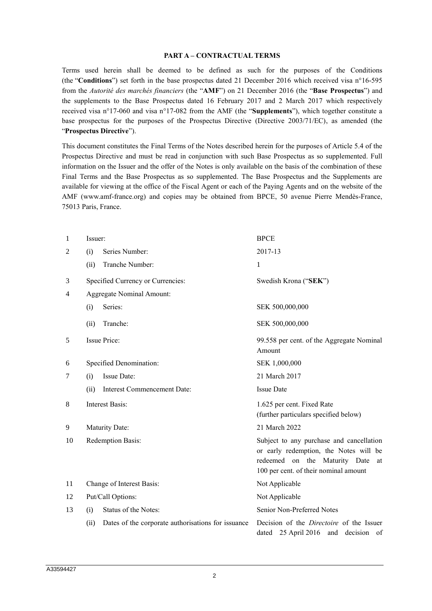#### **PART A – CONTRACTUAL TERMS**

Terms used herein shall be deemed to be defined as such for the purposes of the Conditions (the "**Conditions**") set forth in the base prospectus dated 21 December 2016 which received visa n°16-595 from the *Autorité des marchés financiers* (the "**AMF**") on 21 December 2016 (the "**Base Prospectus**") and the supplements to the Base Prospectus dated 16 February 2017 and 2 March 2017 which respectively received visa n°17-060 and visa n°17-082 from the AMF (the "**Supplements**"), which together constitute a base prospectus for the purposes of the Prospectus Directive (Directive 2003/71/EC), as amended (the "**Prospectus Directive**").

This document constitutes the Final Terms of the Notes described herein for the purposes of Article 5.4 of the Prospectus Directive and must be read in conjunction with such Base Prospectus as so supplemented. Full information on the Issuer and the offer of the Notes is only available on the basis of the combination of these Final Terms and the Base Prospectus as so supplemented. The Base Prospectus and the Supplements are available for viewing at the office of the Fiscal Agent or each of the Paying Agents and on the website of the AMF (www.amf-france.org) and copies may be obtained from BPCE, 50 avenue Pierre Mendès-France, 75013 Paris, France.

| 1  | Issuer:                                                    | <b>BPCE</b>                                                                                                                                                        |  |
|----|------------------------------------------------------------|--------------------------------------------------------------------------------------------------------------------------------------------------------------------|--|
| 2  | Series Number:<br>(i)                                      | 2017-13                                                                                                                                                            |  |
|    | Tranche Number:<br>(ii)                                    | 1                                                                                                                                                                  |  |
| 3  | Specified Currency or Currencies:                          | Swedish Krona ("SEK")                                                                                                                                              |  |
| 4  | <b>Aggregate Nominal Amount:</b>                           |                                                                                                                                                                    |  |
|    | Series:<br>(i)                                             | SEK 500,000,000                                                                                                                                                    |  |
|    | Tranche:<br>(ii)                                           | SEK 500,000,000                                                                                                                                                    |  |
| 5  | Issue Price:                                               | 99.558 per cent. of the Aggregate Nominal<br>Amount                                                                                                                |  |
| 6  | Specified Denomination:                                    | SEK 1,000,000                                                                                                                                                      |  |
| 7  | Issue Date:<br>(i)                                         | 21 March 2017                                                                                                                                                      |  |
|    | <b>Interest Commencement Date:</b><br>(ii)                 | <b>Issue Date</b>                                                                                                                                                  |  |
| 8  | <b>Interest Basis:</b>                                     | 1.625 per cent. Fixed Rate<br>(further particulars specified below)                                                                                                |  |
| 9  | Maturity Date:                                             | 21 March 2022                                                                                                                                                      |  |
| 10 | Redemption Basis:                                          | Subject to any purchase and cancellation<br>or early redemption, the Notes will be<br>redeemed on the Maturity Date<br>at<br>100 per cent. of their nominal amount |  |
| 11 | Change of Interest Basis:                                  | Not Applicable                                                                                                                                                     |  |
| 12 | Put/Call Options:                                          | Not Applicable                                                                                                                                                     |  |
| 13 | Status of the Notes:<br>(i)                                | Senior Non-Preferred Notes                                                                                                                                         |  |
|    | Dates of the corporate authorisations for issuance<br>(ii) | Decision of the <i>Directoire</i> of the Issuer<br>dated 25 April 2016 and decision of                                                                             |  |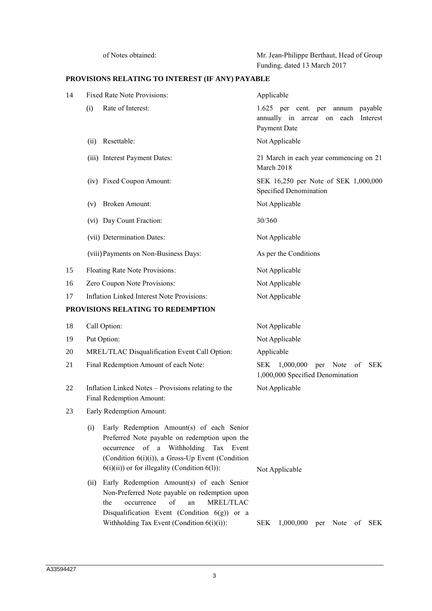of Notes obtained: Mr. Jean-Philippe Berthaut, Head of Group Funding, dated 13 March 2017

# **PROVISIONS RELATING TO INTEREST (IF ANY) PAYABLE**

| 14 | <b>Fixed Rate Note Provisions:</b>                                                                                                                                                                                                                     | Applicable                                                                                     |  |  |
|----|--------------------------------------------------------------------------------------------------------------------------------------------------------------------------------------------------------------------------------------------------------|------------------------------------------------------------------------------------------------|--|--|
|    | Rate of Interest:<br>(i)                                                                                                                                                                                                                               | 1.625 per cent. per annum payable<br>annually in arrear on each Interest<br>Payment Date       |  |  |
|    | Resettable:<br>(ii)                                                                                                                                                                                                                                    | Not Applicable                                                                                 |  |  |
|    | (iii) Interest Payment Dates:                                                                                                                                                                                                                          | 21 March in each year commencing on 21<br>March 2018                                           |  |  |
|    | (iv) Fixed Coupon Amount:                                                                                                                                                                                                                              | SEK 16,250 per Note of SEK 1,000,000<br>Specified Denomination                                 |  |  |
|    | <b>Broken Amount:</b><br>(v)                                                                                                                                                                                                                           | Not Applicable                                                                                 |  |  |
|    | (vi) Day Count Fraction:                                                                                                                                                                                                                               | 30/360                                                                                         |  |  |
|    | (vii) Determination Dates:                                                                                                                                                                                                                             | Not Applicable                                                                                 |  |  |
|    | (viii) Payments on Non-Business Days:                                                                                                                                                                                                                  | As per the Conditions                                                                          |  |  |
| 15 | Floating Rate Note Provisions:                                                                                                                                                                                                                         | Not Applicable                                                                                 |  |  |
| 16 | Zero Coupon Note Provisions:                                                                                                                                                                                                                           | Not Applicable                                                                                 |  |  |
| 17 | Inflation Linked Interest Note Provisions:                                                                                                                                                                                                             | Not Applicable                                                                                 |  |  |
|    | PROVISIONS RELATING TO REDEMPTION                                                                                                                                                                                                                      |                                                                                                |  |  |
| 18 | Call Option:                                                                                                                                                                                                                                           | Not Applicable                                                                                 |  |  |
| 19 | Put Option:                                                                                                                                                                                                                                            | Not Applicable                                                                                 |  |  |
| 20 | MREL/TLAC Disqualification Event Call Option:                                                                                                                                                                                                          | Applicable                                                                                     |  |  |
| 21 | Final Redemption Amount of each Note:                                                                                                                                                                                                                  | 1,000,000<br><b>SEK</b><br>Note<br><b>SEK</b><br>per<br>of<br>1,000,000 Specified Denomination |  |  |
| 22 | Inflation Linked Notes - Provisions relating to the<br>Final Redemption Amount:                                                                                                                                                                        | Not Applicable                                                                                 |  |  |
| 23 | Early Redemption Amount:                                                                                                                                                                                                                               |                                                                                                |  |  |
|    | Early Redemption Amount(s) of each Senior<br>(i)<br>Preferred Note payable on redemption upon the<br>of a Withholding Tax Event<br>occurrence<br>(Condition 6(i)(i)), a Gross-Up Event (Condition<br>$6(i)(ii)$ or for illegality (Condition $6(l)$ ): | Not Applicable                                                                                 |  |  |
|    | Early Redemption Amount(s) of each Senior<br>(ii)<br>Non-Preferred Note payable on redemption upon<br>of<br>MREL/TLAC<br>the<br>occurrence<br>an<br>Disqualification Event (Condition $6(g)$ ) or a<br>Withholding Tax Event (Condition $6(i)(i)$ ):   | <b>SEK</b><br>SEK<br>1,000,000<br>Note<br>of<br>per                                            |  |  |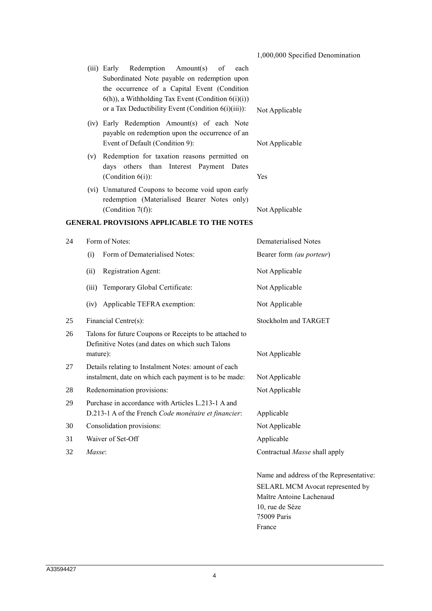1,000,000 Specified Denomination

|    |       | (iii) Early Redemption Amount(s)<br>of<br>each<br>Subordinated Note payable on redemption upon<br>the occurrence of a Capital Event (Condition<br>$(6(h))$ , a Withholding Tax Event (Condition $(6i)(i)$ )                                                                                                                        |                          |
|----|-------|------------------------------------------------------------------------------------------------------------------------------------------------------------------------------------------------------------------------------------------------------------------------------------------------------------------------------------|--------------------------|
|    |       | or a Tax Deductibility Event (Condition 6(i)(iii)):                                                                                                                                                                                                                                                                                | Not Applicable           |
|    |       | (iv) Early Redemption Amount(s) of each Note<br>payable on redemption upon the occurrence of an                                                                                                                                                                                                                                    |                          |
|    |       | Event of Default (Condition 9):                                                                                                                                                                                                                                                                                                    | Not Applicable           |
|    | (v)   | Redemption for taxation reasons permitted on<br>days others than Interest Payment Dates<br>(Condition $6(i)$ ):                                                                                                                                                                                                                    | Yes                      |
|    |       | (vi) Unmatured Coupons to become void upon early<br>redemption (Materialised Bearer Notes only)<br>(Condition $7(f)$ ):                                                                                                                                                                                                            | Not Applicable           |
|    |       | <b>GENERAL PROVISIONS APPLICABLE TO THE NOTES</b>                                                                                                                                                                                                                                                                                  |                          |
| 24 |       | Form of Notes:                                                                                                                                                                                                                                                                                                                     | Dematerialised Notes     |
|    | (i)   | Form of Dematerialised Notes:                                                                                                                                                                                                                                                                                                      | Bearer form (au porteur) |
|    | (ii)  | Registration Agent:                                                                                                                                                                                                                                                                                                                | Not Applicable           |
|    | (iii) | Temporary Global Certificate:                                                                                                                                                                                                                                                                                                      | Not Applicable           |
|    |       | $\mathbf{1}$ $\mathbf{1}$ $\mathbf{1}$ $\mathbf{1}$ $\mathbf{1}$ $\mathbf{1}$ $\mathbf{1}$ $\mathbf{1}$ $\mathbf{1}$ $\mathbf{1}$ $\mathbf{1}$ $\mathbf{1}$ $\mathbf{1}$ $\mathbf{1}$ $\mathbf{1}$ $\mathbf{1}$ $\mathbf{1}$ $\mathbf{1}$ $\mathbf{1}$ $\mathbf{1}$ $\mathbf{1}$ $\mathbf{1}$ $\mathbf{1}$ $\mathbf{1}$ $\mathbf{$ |                          |

(iv) Applicable TEFRA exemption: Not Applicable 25 Financial Centre(s): Stockholm and TARGET 26 Talons for future Coupons or Receipts to be attached to Definitive Notes (and dates on which such Talons mature): Not Applicable 27 Details relating to Instalment Notes: amount of each instalment, date on which each payment is to be made: Not Applicable

- 28 Redenomination provisions: Not Applicable
- 29 Purchase in accordance with Articles L.213-1 A and D.213-1 A of the French *Code monétaire et financier*: Applicable
- 30 Consolidation provisions: Not Applicable
- 31 Waiver of Set-Off Applicable
- 32 *Masse*: Contractual *Masse* shall apply

Name and address of the Representative: SELARL MCM Avocat represented by Maître Antoine Lachenaud 10, rue de Sèze 75009 Paris France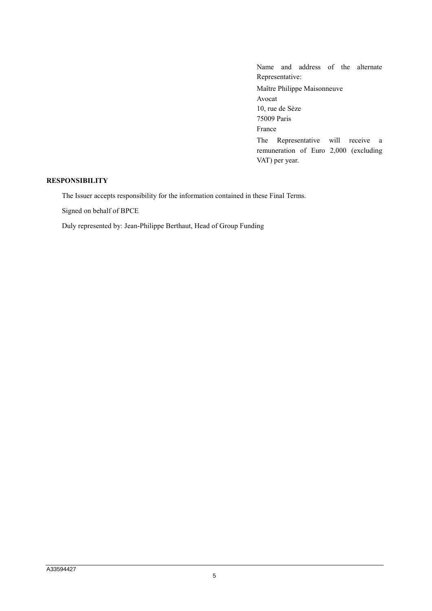Name and address of the alternate Representative: Maître Philippe Maisonneuve Avocat 10, rue de Sèze 75009 Paris France The Representative will receive a remuneration of Euro 2,000 (excluding VAT) per year.

## **RESPONSIBILITY**

The Issuer accepts responsibility for the information contained in these Final Terms.

Signed on behalf of BPCE

Duly represented by: Jean-Philippe Berthaut, Head of Group Funding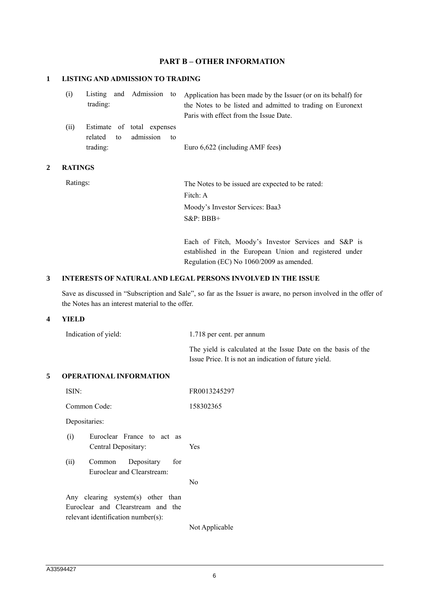### **PART B – OTHER INFORMATION**

### **1 LISTING AND ADMISSION TO TRADING**

|          |  | (i) Listing and Admission to Application has been made by the Issuer (or on its behalf) for |
|----------|--|---------------------------------------------------------------------------------------------|
| trading: |  | the Notes to be listed and admitted to trading on Euronext                                  |
|          |  | Paris with effect from the Issue Date.                                                      |

(ii) Estimate of total expenses related to admission to trading: Euro 6,622 (including AMF fees**)**

### **2 RATINGS**

Ratings: The Notes to be issued are expected to be rated: Fitch: A Moody's Investor Services: Baa3 S&P: BBB+

> Each of Fitch, Moody's Investor Services and S&P is established in the European Union and registered under Regulation (EC) No 1060/2009 as amended.

### **3 INTERESTS OF NATURAL AND LEGAL PERSONS INVOLVED IN THE ISSUE**

Save as discussed in "Subscription and Sale", so far as the Issuer is aware, no person involved in the offer of the Notes has an interest material to the offer.

### **4 YIELD**

| Indication of yield: | 1.718 per cent. per annum                                     |
|----------------------|---------------------------------------------------------------|
|                      | The yield is calculated at the Issue Date on the basis of the |
|                      | Issue Price. It is not an indication of future yield.         |

#### **5 OPERATIONAL INFORMATION**

| ISIN:                                                                                                        | FR0013245297   |  |  |
|--------------------------------------------------------------------------------------------------------------|----------------|--|--|
| Common Code:                                                                                                 | 158302365      |  |  |
| Depositaries:                                                                                                |                |  |  |
| Euroclear France to act as<br>(i)<br>Central Depositary:                                                     | Yes            |  |  |
| (ii)<br>Depositary for<br>Common<br>Euroclear and Clearstream:                                               |                |  |  |
|                                                                                                              | No             |  |  |
| Any clearing system(s) other than<br>Euroclear and Clearstream and the<br>relevant identification number(s): |                |  |  |
|                                                                                                              | Not Applicable |  |  |